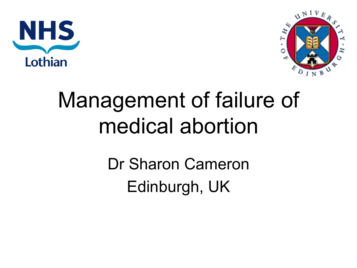



#### Management of failure of medical abortion

Dr Sharon Cameron Edinburgh, UK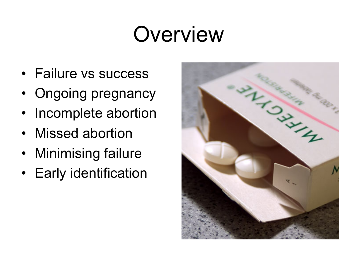#### **Overview**

- Failure vs success
- Ongoing pregnancy
- Incomplete abortion
- Missed abortion
- Minimising failure
- Early identification

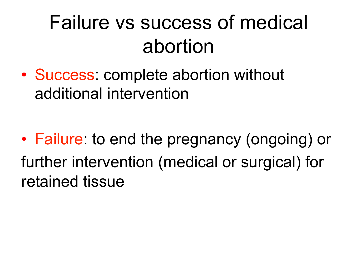#### Failure vs success of medical abortion

• Success: complete abortion without additional intervention

• Failure: to end the pregnancy (ongoing) or further intervention (medical or surgical) for retained tissue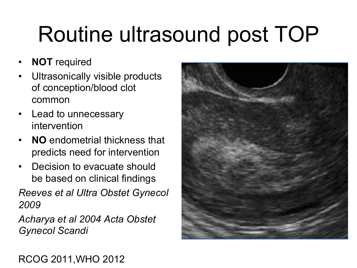### Routine ultrasound post TOP

- **NOT** required
- Ultrasonically visible products of conception/blood clot common
- Lead to unnecessary intervention
- **NO** endometrial thickness that predicts need for intervention
- Decision to evacuate should be based on clinical findings

*Reeves et al Ultra Obstet Gynecol 2009* 

*Acharya et al 2004 Acta Obstet Gynecol Scandi*



#### RCOG 2011,WHO 2012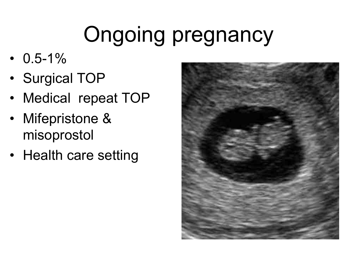# Ongoing pregnancy

- $\cdot$  0.5-1%
- Surgical TOP
- Medical repeat TOP
- Mifepristone & misoprostol
- Health care setting

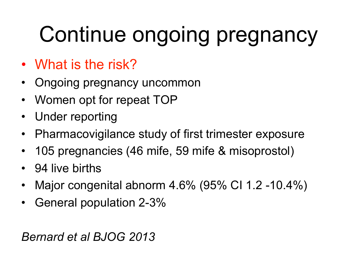### Continue ongoing pregnancy

- What is the risk?
- Ongoing pregnancy uncommon
- Women opt for repeat TOP
- Under reporting
- Pharmacovigilance study of first trimester exposure
- 105 pregnancies (46 mife, 59 mife & misoprostol)
- 94 live births
- Major congenital abnorm 4.6% (95% CI 1.2 -10.4%)
- General population 2-3%

*Bernard et al BJOG 2013*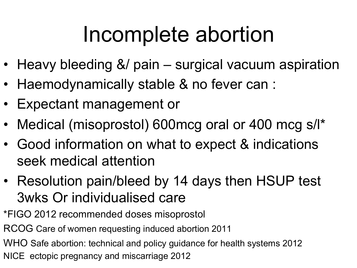#### Incomplete abortion

- Heavy bleeding &/ pain surgical vacuum aspiration
- Haemodynamically stable & no fever can :
- Expectant management or
- Medical (misoprostol) 600mcg oral or 400 mcg s/l\*
- Good information on what to expect & indications seek medical attention
- Resolution pain/bleed by 14 days then HSUP test 3wks Or individualised care
- \*FIGO 2012 recommended doses misoprostol
- RCOG Care of women requesting induced abortion 2011
- WHO Safe abortion: technical and policy guidance for health systems 2012
- NICE ectopic pregnancy and miscarriage 2012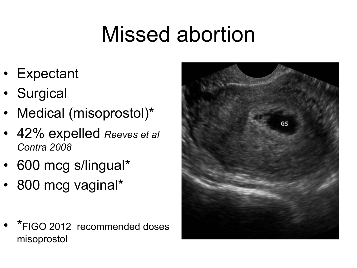#### Missed abortion

- Expectant
- Surgical
- Medical (misoprostol)\*
- 42% expelled *Reeves et al Contra 2008*
- 600 mcg s/lingual\*
- 800 mcg vaginal\*
- \*FIGO 2012 recommended doses misoprostol

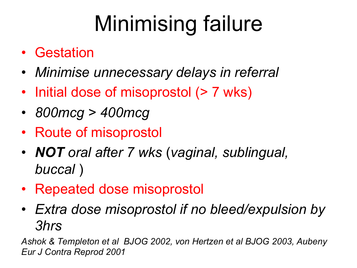# Minimising failure

- Gestation
- *Minimise unnecessary delays in referral*
- Initial dose of misoprostol (> 7 wks)
- *800mcg > 400mcg*
- Route of misoprostol
- *NOT oral after 7 wks* (*vaginal, sublingual, buccal* )
- Repeated dose misoprostol
- *Extra dose misoprostol if no bleed/expulsion by 3hrs*

*Ashok & Templeton et al BJOG 2002, von Hertzen et al BJOG 2003, Aubeny Eur J Contra Reprod 2001*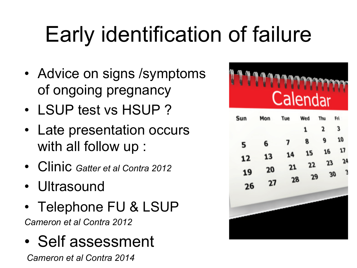# Early identification of failure

- Advice on signs / symptoms of ongoing pregnancy
- LSUP test vs HSUP ?
- Late presentation occurs with all follow up :
- Clinic *Gatter et al Contra 2012*
- Ultrasound
- Telephone FU & LSUP *Cameron et al Contra 2012*
- Self assessment

 *Cameron et al Contra 2014*

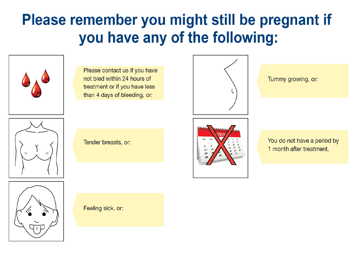#### Please remember you might still be pregnant if you have any of the following:



Please contact us if you have not bled within 24 hours of treatment or if you have less than 4 days of bleeding, or:



Tummy growing, or:



Tender breasts, or:



You do not have a period by 1 month after treatment.



Feeling sick, or: